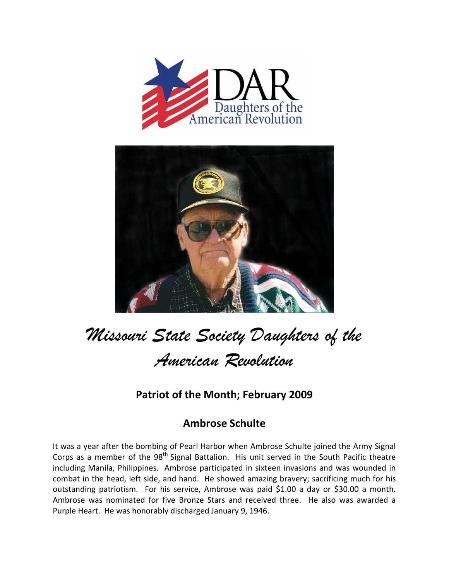



## *Missouri State Society Daughters of the American Revolution*

## **Patriot of the Month; February 2009**

## **Ambrose Schulte**

It was a year after the bombing of Pearl Harbor when Ambrose Schulte joined the Army Signal Corps as a member of the 98<sup>th</sup> Signal Battalion. His unit served in the South Pacific theatre including Manila, Philippines. Ambrose participated in sixteen invasions and was wounded in combat in the head, left side, and hand. He showed amazing bravery; sacrificing much for his outstanding patriotism. For his service, Ambrose was paid \$1.00 a day or \$30.00 a month. Ambrose was nominated for five Bronze Stars and received three. He also was awarded a Purple Heart. He was honorably discharged January 9, 1946.